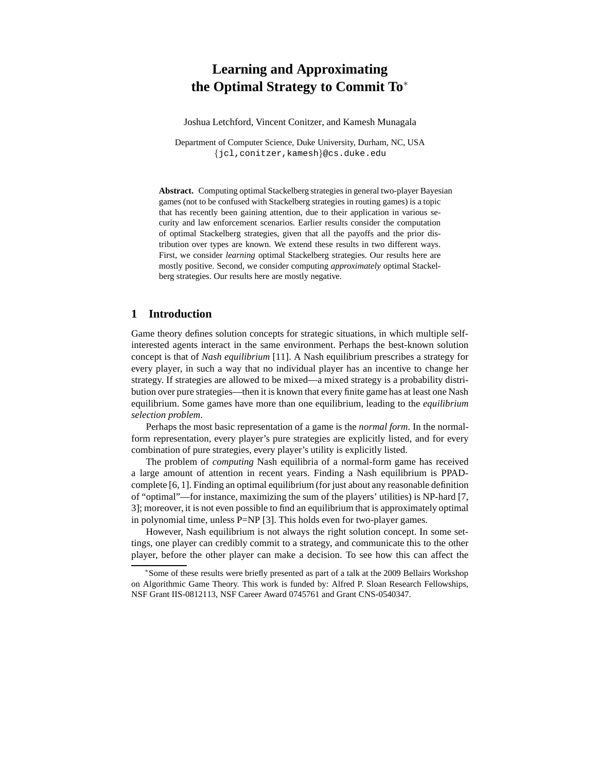# **Learning and Approximating the Optimal Strategy to Commit To**<sup>∗</sup>

Joshua Letchford, Vincent Conitzer, and Kamesh Munagala

Department of Computer Science, Duke University, Durham, NC, USA {jcl,conitzer,kamesh}@cs.duke.edu

**Abstract.** Computing optimal Stackelberg strategies in general two-player Bayesian games (not to be confused with Stackelberg strategies in routing games) is a topic that has recently been gaining attention, due to their application in various security and law enforcement scenarios. Earlier results consider the computation of optimal Stackelberg strategies, given that all the payoffs and the prior distribution over types are known. We extend these results in two different ways. First, we consider *learning* optimal Stackelberg strategies. Our results here are mostly positive. Second, we consider computing *approximately* optimal Stackelberg strategies. Our results here are mostly negative.

# **1 Introduction**

Game theory defines solution concepts for strategic situations, in which multiple selfinterested agents interact in the same environment. Perhaps the best-known solution concept is that of *Nash equilibrium* [11]. A Nash equilibrium prescribes a strategy for every player, in such a way that no individual player has an incentive to change her strategy. If strategies are allowed to be mixed—a mixed strategy is a probability distribution over pure strategies—then it is known that every finite game has at least one Nash equilibrium. Some games have more than one equilibrium, leading to the *equilibrium selection problem*.

Perhaps the most basic representation of a game is the *normal form*. In the normalform representation, every player's pure strategies are explicitly listed, and for every combination of pure strategies, every player's utility is explicitly listed.

The problem of *computing* Nash equilibria of a normal-form game has received a large amount of attention in recent years. Finding a Nash equilibrium is PPADcomplete [6, 1]. Finding an optimal equilibrium (for just about any reasonable definition of "optimal"—for instance, maximizing the sum of the players' utilities) is NP-hard [7, 3]; moreover, it is not even possible to find an equilibrium that is approximately optimal in polynomial time, unless P=NP [3]. This holds even for two-player games.

However, Nash equilibrium is not always the right solution concept. In some settings, one player can credibly commit to a strategy, and communicate this to the other player, before the other player can make a decision. To see how this can affect the

<sup>∗</sup> Some of these results were briefly presented as part of a talk at the 2009 Bellairs Workshop on Algorithmic Game Theory. This work is funded by: Alfred P. Sloan Research Fellowships, NSF Grant IIS-0812113, NSF Career Award 0745761 and Grant CNS-0540347.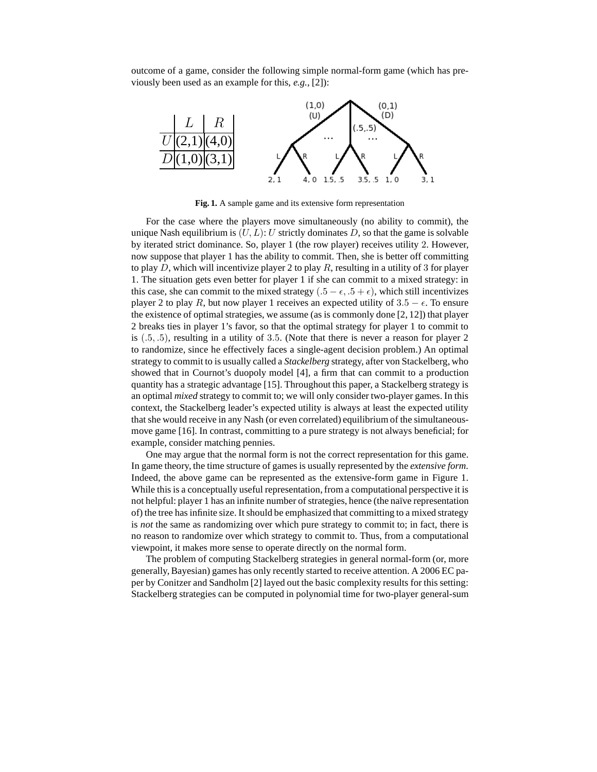outcome of a game, consider the following simple normal-form game (which has previously been used as an example for this, *e.g.*, [2]):



**Fig. 1.** A sample game and its extensive form representation

For the case where the players move simultaneously (no ability to commit), the unique Nash equilibrium is  $(U, L)$ : U strictly dominates D, so that the game is solvable by iterated strict dominance. So, player 1 (the row player) receives utility 2. However, now suppose that player 1 has the ability to commit. Then, she is better off committing to play D, which will incentivize player 2 to play  $R$ , resulting in a utility of 3 for player 1. The situation gets even better for player 1 if she can commit to a mixed strategy: in this case, she can commit to the mixed strategy ( $.5 - \epsilon, .5 + \epsilon$ ), which still incentivizes player 2 to play R, but now player 1 receives an expected utility of  $3.5 - \epsilon$ . To ensure the existence of optimal strategies, we assume (as is commonly done [2, 12]) that player 2 breaks ties in player 1's favor, so that the optimal strategy for player 1 to commit to is (.5, .5), resulting in a utility of 3.5. (Note that there is never a reason for player 2 to randomize, since he effectively faces a single-agent decision problem.) An optimal strategy to commit to is usually called a *Stackelberg* strategy, after von Stackelberg, who showed that in Cournot's duopoly model [4], a firm that can commit to a production quantity has a strategic advantage [15]. Throughout this paper, a Stackelberg strategy is an optimal *mixed* strategy to commit to; we will only consider two-player games. In this context, the Stackelberg leader's expected utility is always at least the expected utility that she would receive in any Nash (or even correlated) equilibrium of the simultaneousmove game [16]. In contrast, committing to a pure strategy is not always beneficial; for example, consider matching pennies.

One may argue that the normal form is not the correct representation for this game. In game theory, the time structure of games is usually represented by the *extensive form*. Indeed, the above game can be represented as the extensive-form game in Figure 1. While this is a conceptually useful representation, from a computational perspective it is not helpful: player 1 has an infinite number of strategies, hence (the naïve representation of) the tree has infinite size. It should be emphasized that committing to a mixed strategy is *not* the same as randomizing over which pure strategy to commit to; in fact, there is no reason to randomize over which strategy to commit to. Thus, from a computational viewpoint, it makes more sense to operate directly on the normal form.

The problem of computing Stackelberg strategies in general normal-form (or, more generally, Bayesian) games has only recently started to receive attention. A 2006 EC paper by Conitzer and Sandholm [2] layed out the basic complexity results for this setting: Stackelberg strategies can be computed in polynomial time for two-player general-sum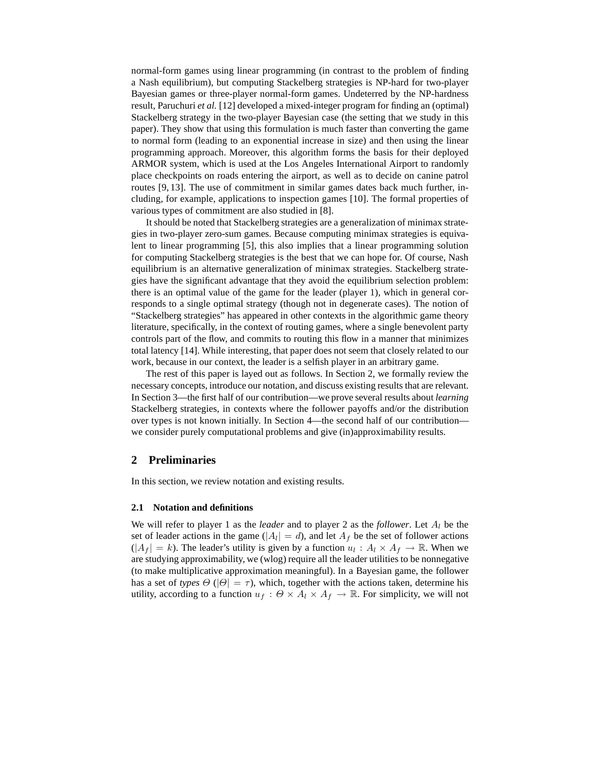normal-form games using linear programming (in contrast to the problem of finding a Nash equilibrium), but computing Stackelberg strategies is NP-hard for two-player Bayesian games or three-player normal-form games. Undeterred by the NP-hardness result, Paruchuri *et al.* [12] developed a mixed-integer program for finding an (optimal) Stackelberg strategy in the two-player Bayesian case (the setting that we study in this paper). They show that using this formulation is much faster than converting the game to normal form (leading to an exponential increase in size) and then using the linear programming approach. Moreover, this algorithm forms the basis for their deployed ARMOR system, which is used at the Los Angeles International Airport to randomly place checkpoints on roads entering the airport, as well as to decide on canine patrol routes [9, 13]. The use of commitment in similar games dates back much further, including, for example, applications to inspection games [10]. The formal properties of various types of commitment are also studied in [8].

It should be noted that Stackelberg strategies are a generalization of minimax strategies in two-player zero-sum games. Because computing minimax strategies is equivalent to linear programming [5], this also implies that a linear programming solution for computing Stackelberg strategies is the best that we can hope for. Of course, Nash equilibrium is an alternative generalization of minimax strategies. Stackelberg strategies have the significant advantage that they avoid the equilibrium selection problem: there is an optimal value of the game for the leader (player 1), which in general corresponds to a single optimal strategy (though not in degenerate cases). The notion of "Stackelberg strategies" has appeared in other contexts in the algorithmic game theory literature, specifically, in the context of routing games, where a single benevolent party controls part of the flow, and commits to routing this flow in a manner that minimizes total latency [14]. While interesting, that paper does not seem that closely related to our work, because in our context, the leader is a selfish player in an arbitrary game.

The rest of this paper is layed out as follows. In Section 2, we formally review the necessary concepts, introduce our notation, and discuss existing results that are relevant. In Section 3—the first half of our contribution—we prove several results about *learning* Stackelberg strategies, in contexts where the follower payoffs and/or the distribution over types is not known initially. In Section 4—the second half of our contribution we consider purely computational problems and give (in)approximability results.

## **2 Preliminaries**

In this section, we review notation and existing results.

#### **2.1 Notation and definitions**

We will refer to player 1 as the *leader* and to player 2 as the *follower*. Let  $A<sub>l</sub>$  be the set of leader actions in the game ( $|A_l| = d$ ), and let  $A_f$  be the set of follower actions  $(|A_f| = k)$ . The leader's utility is given by a function  $u_l : A_l \times A_f \to \mathbb{R}$ . When we are studying approximability, we (wlog) require all the leader utilities to be nonnegative (to make multiplicative approximation meaningful). In a Bayesian game, the follower has a set of *types*  $\Theta$  ( $|\Theta| = \tau$ ), which, together with the actions taken, determine his utility, according to a function  $u_f : \Theta \times A_l \times A_f \to \mathbb{R}$ . For simplicity, we will not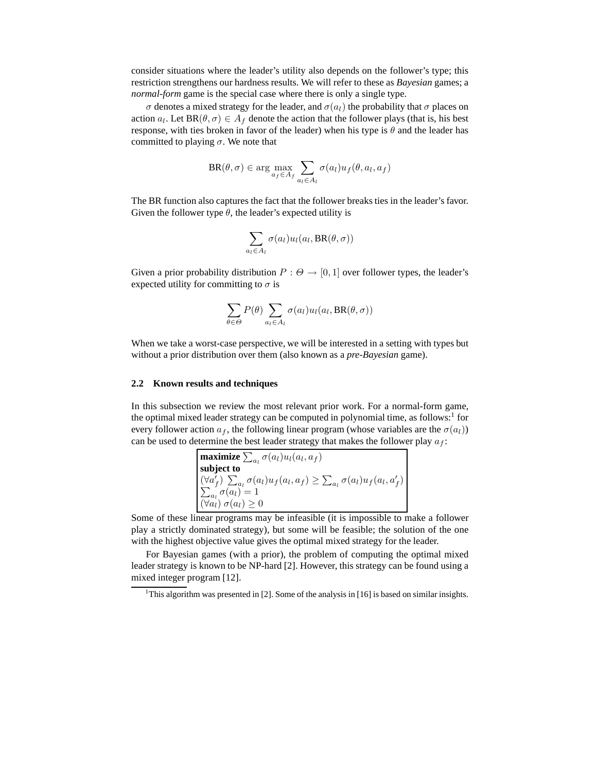consider situations where the leader's utility also depends on the follower's type; this restriction strengthens our hardness results. We will refer to these as *Bayesian* games; a *normal-form* game is the special case where there is only a single type.

σ denotes a mixed strategy for the leader, and  $\sigma(a_l)$  the probability that σ places on action  $a_l$ . Let BR $(\theta, \sigma) \in A_f$  denote the action that the follower plays (that is, his best response, with ties broken in favor of the leader) when his type is  $\theta$  and the leader has committed to playing  $\sigma$ . We note that

$$
BR(\theta, \sigma) \in \arg \max_{a_f \in A_f} \sum_{a_l \in A_l} \sigma(a_l) u_f(\theta, a_l, a_f)
$$

The BR function also captures the fact that the follower breaks ties in the leader's favor. Given the follower type  $\theta$ , the leader's expected utility is

$$
\sum_{a_l \in A_l} \sigma(a_l) u_l(a_l, \text{BR}(\theta, \sigma))
$$

Given a prior probability distribution  $P : \Theta \to [0, 1]$  over follower types, the leader's expected utility for committing to  $\sigma$  is

$$
\sum_{\theta \in \Theta} P(\theta) \sum_{a_l \in A_l} \sigma(a_l) u_l(a_l, \text{BR}(\theta, \sigma))
$$

When we take a worst-case perspective, we will be interested in a setting with types but without a prior distribution over them (also known as a *pre-Bayesian* game).

#### **2.2 Known results and techniques**

In this subsection we review the most relevant prior work. For a normal-form game, the optimal mixed leader strategy can be computed in polynomial time, as follows:<sup>1</sup> for every follower action  $a_f$ , the following linear program (whose variables are the  $\sigma(a_l)$ ) can be used to determine the best leader strategy that makes the follower play  $a_f$ :

$$
\begin{array}{l}\n\textbf{maximize } \sum_{a_l} \sigma(a_l) u_l(a_l, a_f) \\
\textbf{subject to} \\
(\forall a'_f) \sum_{a_l} \sigma(a_l) u_f(a_l, a_f) \ge \sum_{a_l} \sigma(a_l) u_f(a_l, a'_f) \\
\sum_{a_l} \sigma(a_l) = 1 \\
(\forall a_l) \sigma(a_l) \ge 0\n\end{array}
$$

Some of these linear programs may be infeasible (it is impossible to make a follower play a strictly dominated strategy), but some will be feasible; the solution of the one with the highest objective value gives the optimal mixed strategy for the leader.

For Bayesian games (with a prior), the problem of computing the optimal mixed leader strategy is known to be NP-hard [2]. However, this strategy can be found using a mixed integer program [12].

<sup>&</sup>lt;sup>1</sup>This algorithm was presented in [2]. Some of the analysis in [16] is based on similar insights.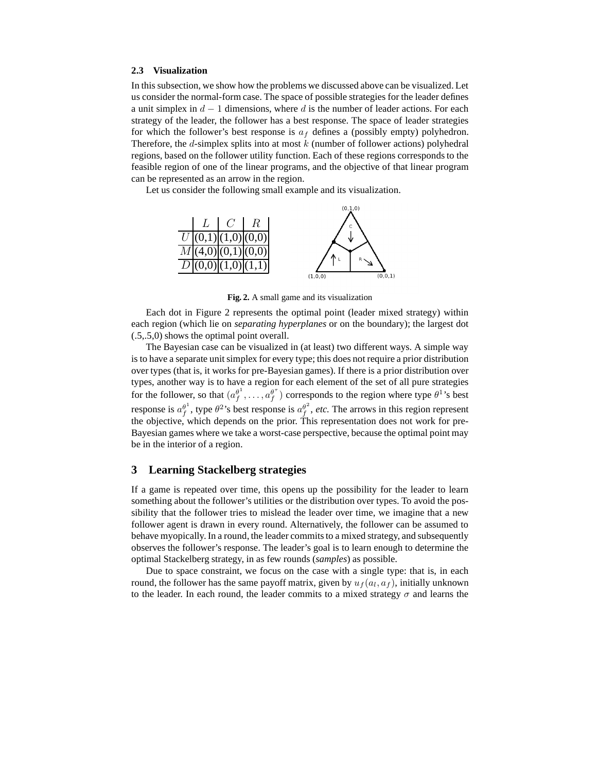#### **2.3 Visualization**

In this subsection, we show how the problems we discussed above can be visualized. Let us consider the normal-form case. The space of possible strategies for the leader defines a unit simplex in  $d-1$  dimensions, where d is the number of leader actions. For each strategy of the leader, the follower has a best response. The space of leader strategies for which the follower's best response is  $a_f$  defines a (possibly empty) polyhedron. Therefore, the *d*-simplex splits into at most  $k$  (number of follower actions) polyhedral regions, based on the follower utility function. Each of these regions corresponds to the feasible region of one of the linear programs, and the objective of that linear program can be represented as an arrow in the region.

Let us consider the following small example and its visualization.



**Fig. 2.** A small game and its visualization

Each dot in Figure 2 represents the optimal point (leader mixed strategy) within each region (which lie on *separating hyperplanes* or on the boundary); the largest dot (.5,.5,0) shows the optimal point overall.

The Bayesian case can be visualized in (at least) two different ways. A simple way is to have a separate unit simplex for every type; this does not require a prior distribution over types (that is, it works for pre-Bayesian games). If there is a prior distribution over types, another way is to have a region for each element of the set of all pure strategies for the follower, so that  $(a_f^{\theta^1})$  $f^{q^1}, \ldots, a_f^{q^{\tau}}$  orresponds to the region where type  $\theta^1$ 's best response is  $a_f^{\theta^1}$  $\theta_f^1$ , type  $\theta^2$ 's best response is  $a_f^{\theta^2}$  $f_f^{\theta^2}$ , *etc.* The arrows in this region represent the objective, which depends on the prior. This representation does not work for pre-Bayesian games where we take a worst-case perspective, because the optimal point may be in the interior of a region.

# **3 Learning Stackelberg strategies**

If a game is repeated over time, this opens up the possibility for the leader to learn something about the follower's utilities or the distribution over types. To avoid the possibility that the follower tries to mislead the leader over time, we imagine that a new follower agent is drawn in every round. Alternatively, the follower can be assumed to behave myopically. In a round, the leader commits to a mixed strategy, and subsequently observes the follower's response. The leader's goal is to learn enough to determine the optimal Stackelberg strategy, in as few rounds (*samples*) as possible.

Due to space constraint, we focus on the case with a single type: that is, in each round, the follower has the same payoff matrix, given by  $u_f(a_l, a_f)$ , initially unknown to the leader. In each round, the leader commits to a mixed strategy  $\sigma$  and learns the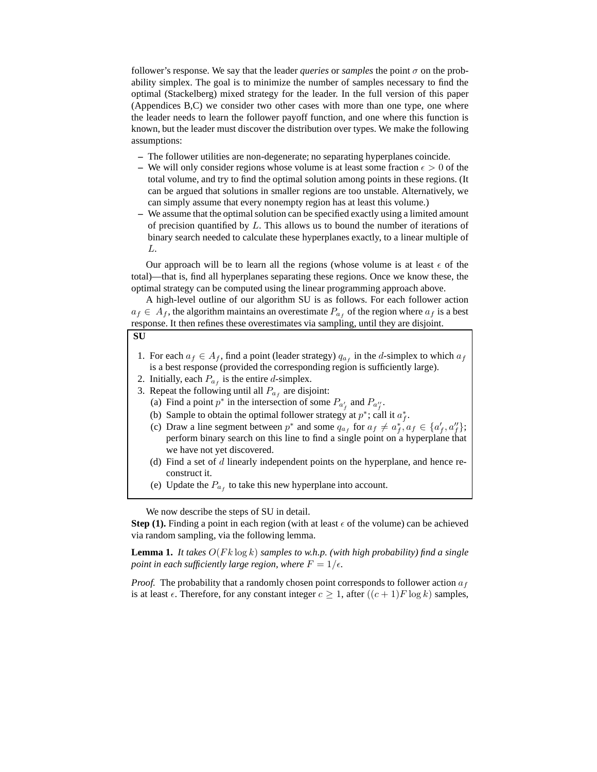follower's response. We say that the leader *queries* or *samples* the point σ on the probability simplex. The goal is to minimize the number of samples necessary to find the optimal (Stackelberg) mixed strategy for the leader. In the full version of this paper (Appendices B,C) we consider two other cases with more than one type, one where the leader needs to learn the follower payoff function, and one where this function is known, but the leader must discover the distribution over types. We make the following assumptions:

- **–** The follower utilities are non-degenerate; no separating hyperplanes coincide.
- We will only consider regions whose volume is at least some fraction  $\epsilon > 0$  of the total volume, and try to find the optimal solution among points in these regions. (It can be argued that solutions in smaller regions are too unstable. Alternatively, we can simply assume that every nonempty region has at least this volume.)
- **–** We assume that the optimal solution can be specified exactly using a limited amount of precision quantified by  $L$ . This allows us to bound the number of iterations of binary search needed to calculate these hyperplanes exactly, to a linear multiple of L.

Our approach will be to learn all the regions (whose volume is at least  $\epsilon$  of the total)—that is, find all hyperplanes separating these regions. Once we know these, the optimal strategy can be computed using the linear programming approach above.

A high-level outline of our algorithm SU is as follows. For each follower action  $a_f \in A_f$ , the algorithm maintains an overestimate  $P_{a_f}$  of the region where  $a_f$  is a best response. It then refines these overestimates via sampling, until they are disjoint.

# **SU**

- 1. For each  $a_f \in A_f$ , find a point (leader strategy)  $q_{a_f}$  in the d-simplex to which  $a_f$ is a best response (provided the corresponding region is sufficiently large).
- 2. Initially, each  $P_{a_f}$  is the entire *d*-simplex.
- 3. Repeat the following until all  $P_{a_f}$  are disjoint:
	- (a) Find a point  $p^*$  in the intersection of some  $P_{a'_f}$  and  $P_{a''_f}$ .
	- (b) Sample to obtain the optimal follower strategy at  $p^*$ ; call it  $a_f^*$ .
	- (c) Draw a line segment between  $p^*$  and some  $q_{a_f}$  for  $a_f \neq a_f^*$ ,  $a_f \in \{a'_f, a''_f\};$ perform binary search on this line to find a single point on a hyperplane that we have not yet discovered.
	- (d) Find a set of  $d$  linearly independent points on the hyperplane, and hence reconstruct it.
	- (e) Update the  $P_{a_f}$  to take this new hyperplane into account.

We now describe the steps of SU in detail.

**Step (1).** Finding a point in each region (with at least  $\epsilon$  of the volume) can be achieved via random sampling, via the following lemma.

**Lemma 1.** *It takes*  $O(Fk \log k)$  *samples to w.h.p.* (with high probability) find a single *point in each sufficiently large region, where*  $F = 1/\epsilon$ .

*Proof.* The probability that a randomly chosen point corresponds to follower action  $a_f$ is at least  $\epsilon$ . Therefore, for any constant integer  $c \geq 1$ , after  $((c+1)F \log k)$  samples,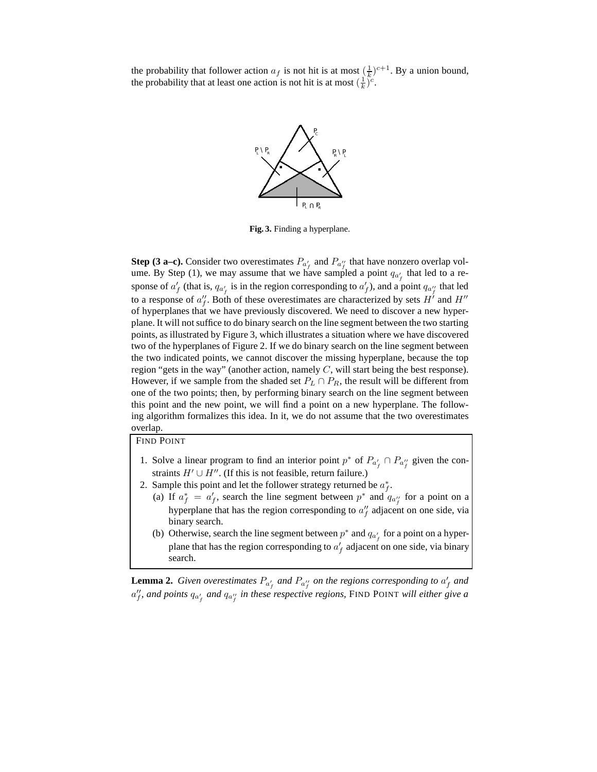the probability that follower action  $a_f$  is not hit is at most  $(\frac{1}{k})^{c+1}$ . By a union bound, the probability that at least one action is not hit is at most  $(\frac{1}{k})^c$ .



**Fig. 3.** Finding a hyperplane.

**Step (3 a–c).** Consider two overestimates  $P_{a_f'}$  and  $P_{a_f''}$  that have nonzero overlap volume. By Step (1), we may assume that we have sampled a point  $q_{a'_f}$  that led to a response of  $a'_f$  (that is,  $q_{a'_f}$  is in the region corresponding to  $a'_f$ ), and a point  $q_{a''_f}$  that led to a response of  $a''_f$ . Both of these overestimates are characterized by sets  $H'$  and  $H''$ of hyperplanes that we have previously discovered. We need to discover a new hyperplane. It will not suffice to do binary search on the line segment between the two starting points, as illustrated by Figure 3, which illustrates a situation where we have discovered two of the hyperplanes of Figure 2. If we do binary search on the line segment between the two indicated points, we cannot discover the missing hyperplane, because the top region "gets in the way" (another action, namely  $C$ , will start being the best response). However, if we sample from the shaded set  $P_L \cap P_R$ , the result will be different from one of the two points; then, by performing binary search on the line segment between this point and the new point, we will find a point on a new hyperplane. The following algorithm formalizes this idea. In it, we do not assume that the two overestimates overlap.

FIND POINT

- 1. Solve a linear program to find an interior point  $p^*$  of  $P_{a'_f} \cap P_{a''_f}$  given the constraints  $H' \cup H''$ . (If this is not feasible, return failure.)
- 2. Sample this point and let the follower strategy returned be  $a_f^*$ .
	- (a) If  $a_f^* = a_f^*$ , search the line segment between  $p^*$  and  $q_{a_f^*}$  for a point on a hyperplane that has the region corresponding to  $a''_f$  adjacent on one side, via binary search.
	- (b) Otherwise, search the line segment between  $p^*$  and  $q_{a'_f}$  for a point on a hyperplane that has the region corresponding to  $a'_f$  adjacent on one side, via binary search.

**Lemma 2.** Given overestimates  $P_{a'_f}$  and  $P_{a''_f}$  on the regions corresponding to  $a'_f$  and  $a''_f$ , and points  $q_{a'_f}$  and  $q_{a''_f}$  in these respective regions, FIND POINT will either give a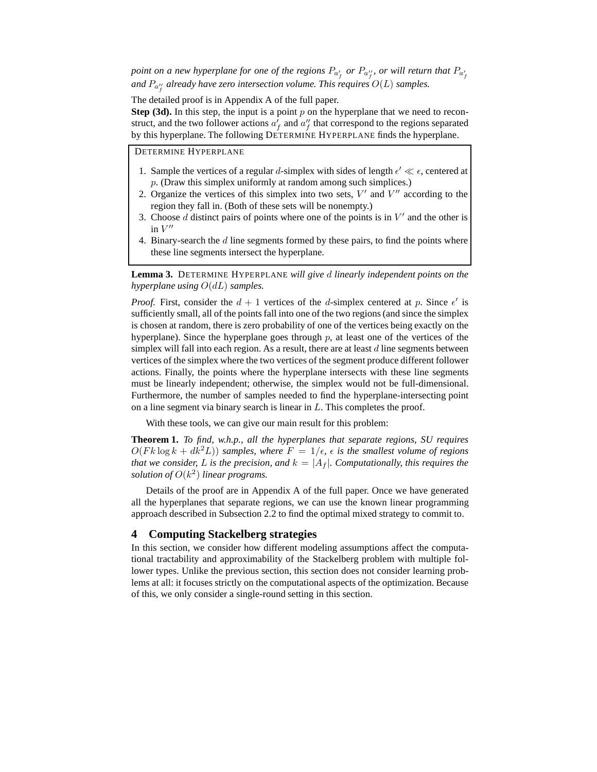point on a new hyperplane for one of the regions  $P_{a'_{f}}$  or  $P_{a''_{f}}$ , or will return that  $P_{a'_{f}}$ and  $P_{a''_f}$  already have zero intersection volume. This requires  $O(L)$  samples.

The detailed proof is in Appendix A of the full paper.

**Step (3d).** In this step, the input is a point  $p$  on the hyperplane that we need to reconstruct, and the two follower actions  $a_f'$  and  $a_f''$  that correspond to the regions separated by this hyperplane. The following DETERMINE HYPERPLANE finds the hyperplane.

DETERMINE HYPERPLANE

- 1. Sample the vertices of a regular d-simplex with sides of length  $\epsilon' \ll \epsilon$ , centered at p. (Draw this simplex uniformly at random among such simplices.)
- 2. Organize the vertices of this simplex into two sets,  $V'$  and  $V''$  according to the region they fall in. (Both of these sets will be nonempty.)
- 3. Choose  $d$  distinct pairs of points where one of the points is in  $V'$  and the other is in  $V''$
- 4. Binary-search the d line segments formed by these pairs, to find the points where these line segments intersect the hyperplane.

**Lemma 3.** DETERMINE HYPERPLANE *will give* d *linearly independent points on the hyperplane using* O(dL) *samples.*

*Proof.* First, consider the  $d + 1$  vertices of the d-simplex centered at p. Since  $\epsilon'$  is sufficiently small, all of the points fall into one of the two regions (and since the simplex is chosen at random, there is zero probability of one of the vertices being exactly on the hyperplane). Since the hyperplane goes through  $p$ , at least one of the vertices of the simplex will fall into each region. As a result, there are at least  $d$  line segments between vertices of the simplex where the two vertices of the segment produce different follower actions. Finally, the points where the hyperplane intersects with these line segments must be linearly independent; otherwise, the simplex would not be full-dimensional. Furthermore, the number of samples needed to find the hyperplane-intersecting point on a line segment via binary search is linear in L. This completes the proof.

With these tools, we can give our main result for this problem:

**Theorem 1.** *To find, w.h.p., all the hyperplanes that separate regions, SU requires*  $O(Fk \log k + dk^2 L)$  *samples, where*  $F = 1/\epsilon$ ,  $\epsilon$  *is the smallest volume of regions that we consider, L is the precision, and*  $k = |A_f|$ *. Computationally, this requires the* solution of  $O(k^2)$  linear programs.

Details of the proof are in Appendix A of the full paper. Once we have generated all the hyperplanes that separate regions, we can use the known linear programming approach described in Subsection 2.2 to find the optimal mixed strategy to commit to.

## **4 Computing Stackelberg strategies**

In this section, we consider how different modeling assumptions affect the computational tractability and approximability of the Stackelberg problem with multiple follower types. Unlike the previous section, this section does not consider learning problems at all: it focuses strictly on the computational aspects of the optimization. Because of this, we only consider a single-round setting in this section.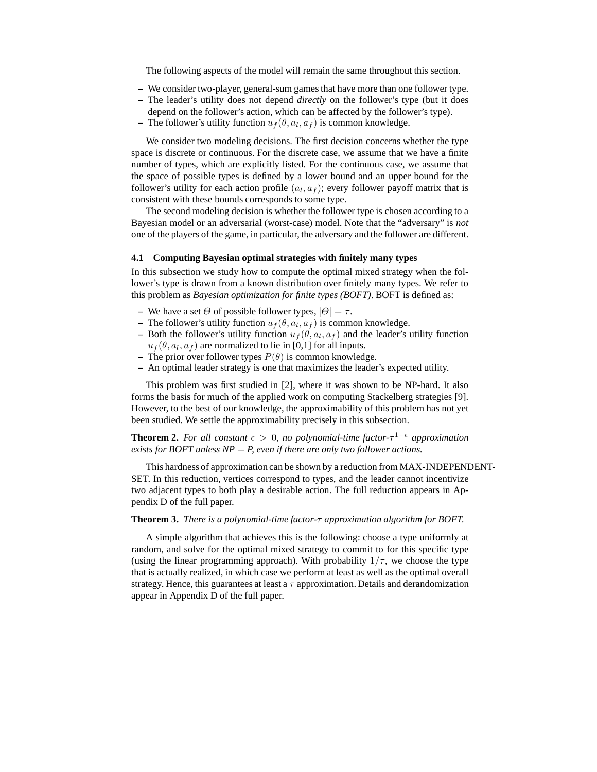The following aspects of the model will remain the same throughout this section.

- **–** We consider two-player, general-sum games that have more than one follower type.
- **–** The leader's utility does not depend *directly* on the follower's type (but it does depend on the follower's action, which can be affected by the follower's type).
- **–** The follower's utility function  $u_f(\theta, a_l, a_f)$  is common knowledge.

We consider two modeling decisions. The first decision concerns whether the type space is discrete or continuous. For the discrete case, we assume that we have a finite number of types, which are explicitly listed. For the continuous case, we assume that the space of possible types is defined by a lower bound and an upper bound for the follower's utility for each action profile  $(a_l, a_f)$ ; every follower payoff matrix that is consistent with these bounds corresponds to some type.

The second modeling decision is whether the follower type is chosen according to a Bayesian model or an adversarial (worst-case) model. Note that the "adversary" is *not* one of the players of the game, in particular, the adversary and the follower are different.

#### **4.1 Computing Bayesian optimal strategies with finitely many types**

In this subsection we study how to compute the optimal mixed strategy when the follower's type is drawn from a known distribution over finitely many types. We refer to this problem as *Bayesian optimization for finite types (BOFT)*. BOFT is defined as:

- **–** We have a set  $\Theta$  of possible follower types,  $|\Theta| = \tau$ .
- **–** The follower's utility function  $u_f(\theta, a_l, a_f)$  is common knowledge.
- **–** Both the follower's utility function  $u_f(\theta, a_l, a_f)$  and the leader's utility function  $u_f(\theta, a_l, a_f)$  are normalized to lie in [0,1] for all inputs.
- **–** The prior over follower types  $P(\theta)$  is common knowledge.
- **–** An optimal leader strategy is one that maximizes the leader's expected utility.

This problem was first studied in [2], where it was shown to be NP-hard. It also forms the basis for much of the applied work on computing Stackelberg strategies [9]. However, to the best of our knowledge, the approximability of this problem has not yet been studied. We settle the approximability precisely in this subsection.

**Theorem 2.** *For all constant*  $\epsilon > 0$ , *no polynomial-time factor-* $\tau^{1-\epsilon}$  *approximation exists for BOFT unless NP* = *P, even if there are only two follower actions.*

This hardness of approximation can be shown by a reduction from MAX-INDEPENDENT-SET. In this reduction, vertices correspond to types, and the leader cannot incentivize two adjacent types to both play a desirable action. The full reduction appears in Appendix D of the full paper.

#### **Theorem 3.** *There is a polynomial-time factor-*τ *approximation algorithm for BOFT.*

A simple algorithm that achieves this is the following: choose a type uniformly at random, and solve for the optimal mixed strategy to commit to for this specific type (using the linear programming approach). With probability  $1/\tau$ , we choose the type that is actually realized, in which case we perform at least as well as the optimal overall strategy. Hence, this guarantees at least a  $\tau$  approximation. Details and derandomization appear in Appendix D of the full paper.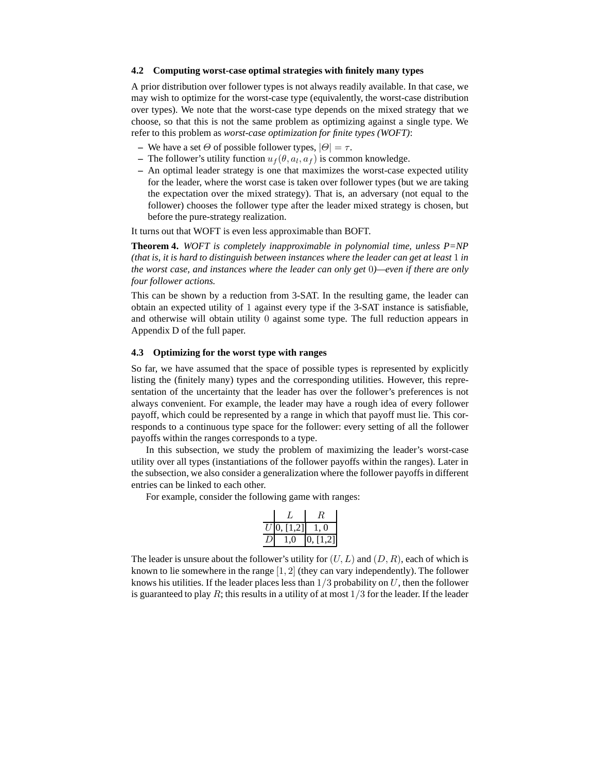#### **4.2 Computing worst-case optimal strategies with finitely many types**

A prior distribution over follower types is not always readily available. In that case, we may wish to optimize for the worst-case type (equivalently, the worst-case distribution over types). We note that the worst-case type depends on the mixed strategy that we choose, so that this is not the same problem as optimizing against a single type. We refer to this problem as *worst-case optimization for finite types (WOFT)*:

- **–** We have a set  $\Theta$  of possible follower types,  $|\Theta| = \tau$ .
- **–** The follower's utility function  $u_f(\theta, a_l, a_f)$  is common knowledge.
- **–** An optimal leader strategy is one that maximizes the worst-case expected utility for the leader, where the worst case is taken over follower types (but we are taking the expectation over the mixed strategy). That is, an adversary (not equal to the follower) chooses the follower type after the leader mixed strategy is chosen, but before the pure-strategy realization.

It turns out that WOFT is even less approximable than BOFT.

**Theorem 4.** *WOFT is completely inapproximable in polynomial time, unless P=NP (that is, it is hard to distinguish between instances where the leader can get at least* 1 *in the worst case, and instances where the leader can only get* 0*)—even if there are only four follower actions.*

This can be shown by a reduction from 3-SAT. In the resulting game, the leader can obtain an expected utility of 1 against every type if the 3-SAT instance is satisfiable, and otherwise will obtain utility 0 against some type. The full reduction appears in Appendix D of the full paper.

#### **4.3 Optimizing for the worst type with ranges**

So far, we have assumed that the space of possible types is represented by explicitly listing the (finitely many) types and the corresponding utilities. However, this representation of the uncertainty that the leader has over the follower's preferences is not always convenient. For example, the leader may have a rough idea of every follower payoff, which could be represented by a range in which that payoff must lie. This corresponds to a continuous type space for the follower: every setting of all the follower payoffs within the ranges corresponds to a type.

In this subsection, we study the problem of maximizing the leader's worst-case utility over all types (instantiations of the follower payoffs within the ranges). Later in the subsection, we also consider a generalization where the follower payoffs in different entries can be linked to each other.

For example, consider the following game with ranges:

| $\mathcal{U}$ | 0.11.21 |             |
|---------------|---------|-------------|
|               | ∣∩      | [1.2]<br>0. |

The leader is unsure about the follower's utility for  $(U, L)$  and  $(D, R)$ , each of which is known to lie somewhere in the range  $[1, 2]$  (they can vary independently). The follower knows his utilities. If the leader places less than  $1/3$  probability on U, then the follower is guaranteed to play  $R$ ; this results in a utility of at most  $1/3$  for the leader. If the leader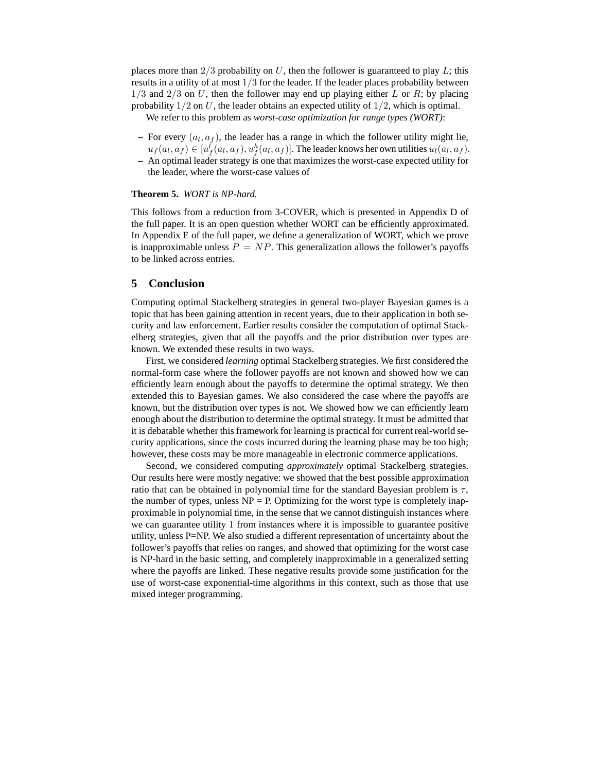places more than  $2/3$  probability on U, then the follower is guaranteed to play L; this results in a utility of at most 1/3 for the leader. If the leader places probability between  $1/3$  and  $2/3$  on U, then the follower may end up playing either L or R; by placing probability  $1/2$  on U, the leader obtains an expected utility of  $1/2$ , which is optimal.

We refer to this problem as *worst-case optimization for range types (WORT)*:

- $-$  For every  $(a_l, a_f)$ , the leader has a range in which the follower utility might lie,  $u_f(a_l, a_f) \in [u_f^l(a_l, a_f), u_f^h(a_l, a_f)]$ . The leader knows her own utilities  $u_l(a_l, a_f)$ .
- **–** An optimal leader strategy is one that maximizes the worst-case expected utility for the leader, where the worst-case values of

## **Theorem 5.** *WORT is NP-hard.*

This follows from a reduction from 3-COVER, which is presented in Appendix D of the full paper. It is an open question whether WORT can be efficiently approximated. In Appendix E of the full paper, we define a generalization of WORT, which we prove is inapproximable unless  $P = NP$ . This generalization allows the follower's payoffs to be linked across entries.

# **5 Conclusion**

Computing optimal Stackelberg strategies in general two-player Bayesian games is a topic that has been gaining attention in recent years, due to their application in both security and law enforcement. Earlier results consider the computation of optimal Stackelberg strategies, given that all the payoffs and the prior distribution over types are known. We extended these results in two ways.

First, we considered *learning* optimal Stackelberg strategies. We first considered the normal-form case where the follower payoffs are not known and showed how we can efficiently learn enough about the payoffs to determine the optimal strategy. We then extended this to Bayesian games. We also considered the case where the payoffs are known, but the distribution over types is not. We showed how we can efficiently learn enough about the distribution to determine the optimal strategy. It must be admitted that it is debatable whether this framework for learning is practical for current real-world security applications, since the costs incurred during the learning phase may be too high; however, these costs may be more manageable in electronic commerce applications.

Second, we considered computing *approximately* optimal Stackelberg strategies. Our results here were mostly negative: we showed that the best possible approximation ratio that can be obtained in polynomial time for the standard Bayesian problem is  $\tau$ , the number of types, unless  $NP = P$ . Optimizing for the worst type is completely inapproximable in polynomial time, in the sense that we cannot distinguish instances where we can guarantee utility 1 from instances where it is impossible to guarantee positive utility, unless P=NP. We also studied a different representation of uncertainty about the follower's payoffs that relies on ranges, and showed that optimizing for the worst case is NP-hard in the basic setting, and completely inapproximable in a generalized setting where the payoffs are linked. These negative results provide some justification for the use of worst-case exponential-time algorithms in this context, such as those that use mixed integer programming.